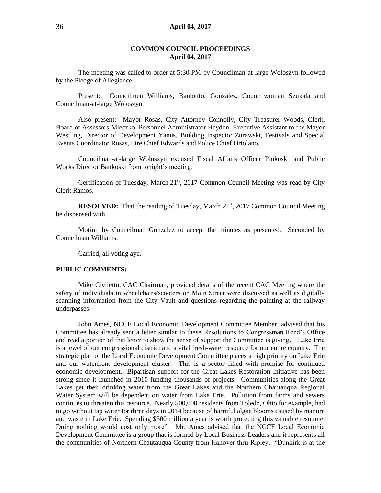#### **COMMON COUNCIL PROCEEDINGS April 04, 2017**

The meeting was called to order at 5:30 PM by Councilman-at-large Woloszyn followed by the Pledge of Allegiance.

Present: Councilmen Williams, Bamonto, Gonzalez, Councilwoman Szukala and Councilman-at-large Woloszyn.

Also present: Mayor Rosas, City Attorney Connolly, City Treasurer Woods, Clerk, Board of Assessors Mleczko, Personnel Administrator Heyden, Executive Assistant to the Mayor Westling, Director of Development Yanus, Building Inspector Zurawski, Festivals and Special Events Coordinator Rosas, Fire Chief Edwards and Police Chief Ortolano.

Councilman-at-large Woloszyn excused Fiscal Affairs Officer Pinkoski and Public Works Director Bankoski from tonight's meeting.

Certification of Tuesday, March 21<sup>st</sup>, 2017 Common Council Meeting was read by City Clerk Ramos.

**RESOLVED:** That the reading of Tuesday, March 21<sup>st</sup>, 2017 Common Council Meeting be dispensed with.

Motion by Councilman Gonzalez to accept the minutes as presented. Seconded by Councilman Williams.

Carried, all voting aye.

#### **PUBLIC COMMENTS:**

Mike Civiletto, CAC Chairman, provided details of the recent CAC Meeting where the safety of individuals in wheelchairs/scooters on Main Street were discussed as well as digitally scanning information from the City Vault and questions regarding the painting at the railway underpasses.

John Ames, NCCF Local Economic Development Committee Member, advised that his Committee has already sent a letter similar to these Resolutions to Congressman Reed's Office and read a portion of that letter to show the sense of support the Committee is giving. "Lake Erie is a jewel of our congressional district and a vital fresh-water resource for our entire country. The strategic plan of the Local Economic Development Committee places a high priority on Lake Erie and our waterfront development cluster. This is a sector filled with promise for continued economic development. Bipartisan support for the Great Lakes Restoration Initiative has been strong since it launched in 2010 funding thousands of projects. Communities along the Great Lakes get their drinking water from the Great Lakes and the Northern Chautauqua Regional Water System will be dependent on water from Lake Erie. Pollution from farms and sewers continues to threaten this resource. Nearly 500,000 residents from Toledo, Ohio for example, had to go without tap water for three days in 2014 because of harmful algae blooms caused by manure and waste in Lake Erie. Spending \$300 million a year is worth protecting this valuable resource. Doing nothing would cost only more". Mr. Ames advised that the NCCF Local Economic Development Committee is a group that is formed by Local Business Leaders and it represents all the communities of Northern Chautauqua County from Hanover thru Ripley. "Dunkirk is at the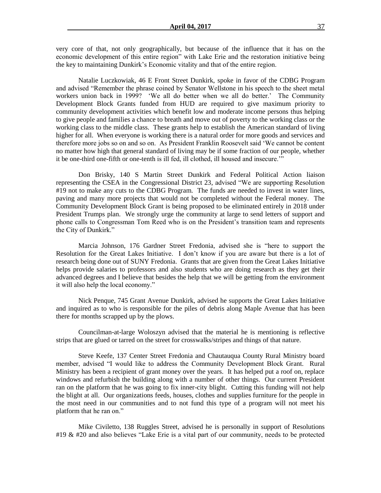very core of that, not only geographically, but because of the influence that it has on the economic development of this entire region" with Lake Erie and the restoration initiative being the key to maintaining Dunkirk's Economic vitality and that of the entire region.

Natalie Luczkowiak, 46 E Front Street Dunkirk, spoke in favor of the CDBG Program and advised "Remember the phrase coined by Senator Wellstone in his speech to the sheet metal workers union back in 1999? 'We all do better when we all do better.' The Community Development Block Grants funded from HUD are required to give maximum priority to community development activities which benefit low and moderate income persons thus helping to give people and families a chance to breath and move out of poverty to the working class or the working class to the middle class. These grants help to establish the American standard of living higher for all. When everyone is working there is a natural order for more goods and services and therefore more jobs so on and so on. As President Franklin Roosevelt said 'We cannot be content no matter how high that general standard of living may be if some fraction of our people, whether it be one-third one-fifth or one-tenth is ill fed, ill clothed, ill housed and insecure.'"

Don Brisky, 140 S Martin Street Dunkirk and Federal Political Action liaison representing the CSEA in the Congressional District 23, advised "We are supporting Resolution #19 not to make any cuts to the CDBG Program. The funds are needed to invest in water lines, paving and many more projects that would not be completed without the Federal money. The Community Development Block Grant is being proposed to be eliminated entirely in 2018 under President Trumps plan. We strongly urge the community at large to send letters of support and phone calls to Congressman Tom Reed who is on the President's transition team and represents the City of Dunkirk."

Marcia Johnson, 176 Gardner Street Fredonia, advised she is "here to support the Resolution for the Great Lakes Initiative. I don't know if you are aware but there is a lot of research being done out of SUNY Fredonia. Grants that are given from the Great Lakes Initiative helps provide salaries to professors and also students who are doing research as they get their advanced degrees and I believe that besides the help that we will be getting from the environment it will also help the local economy."

Nick Penque, 745 Grant Avenue Dunkirk, advised he supports the Great Lakes Initiative and inquired as to who is responsible for the piles of debris along Maple Avenue that has been there for months scrapped up by the plows.

Councilman-at-large Woloszyn advised that the material he is mentioning is reflective strips that are glued or tarred on the street for crosswalks/stripes and things of that nature.

Steve Keefe, 137 Center Street Fredonia and Chautauqua County Rural Ministry board member, advised "I would like to address the Community Development Block Grant. Rural Ministry has been a recipient of grant money over the years. It has helped put a roof on, replace windows and refurbish the building along with a number of other things. Our current President ran on the platform that he was going to fix inner-city blight. Cutting this funding will not help the blight at all. Our organizations feeds, houses, clothes and supplies furniture for the people in the most need in our communities and to not fund this type of a program will not meet his platform that he ran on."

Mike Civiletto, 138 Ruggles Street, advised he is personally in support of Resolutions #19 & #20 and also believes "Lake Erie is a vital part of our community, needs to be protected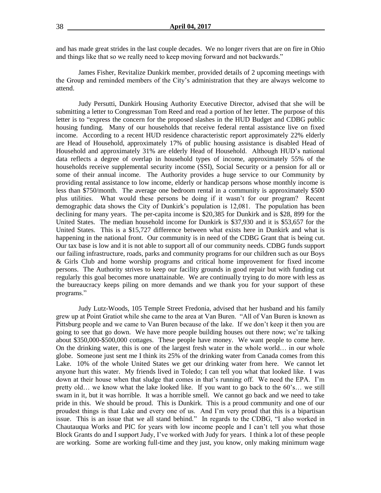and has made great strides in the last couple decades. We no longer rivers that are on fire in Ohio and things like that so we really need to keep moving forward and not backwards."

James Fisher, Revitalize Dunkirk member, provided details of 2 upcoming meetings with the Group and reminded members of the City's administration that they are always welcome to attend.

Judy Persutti, Dunkirk Housing Authority Executive Director, advised that she will be submitting a letter to Congressman Tom Reed and read a portion of her letter. The purpose of this letter is to "express the concern for the proposed slashes in the HUD Budget and CDBG public housing funding. Many of our households that receive federal rental assistance live on fixed income. According to a recent HUD residence characteristic report approximately 22% elderly are Head of Household, approximately 17% of public housing assistance is disabled Head of Household and approximately 31% are elderly Head of Household. Although HUD's national data reflects a degree of overlap in household types of income, approximately 55% of the households receive supplemental security income (SSI), Social Security or a pension for all or some of their annual income. The Authority provides a huge service to our Community by providing rental assistance to low income, elderly or handicap persons whose monthly income is less than \$750/month. The average one bedroom rental in a community is approximately \$500 plus utilities. What would these persons be doing if it wasn't for our program? Recent demographic data shows the City of Dunkirk's population is 12,081. The population has been declining for many years. The per-capita income is \$20,385 for Dunkirk and is \$28, 899 for the United States. The median household income for Dunkirk is \$37,930 and it is \$53,657 for the United States. This is a \$15,727 difference between what exists here in Dunkirk and what is happening in the national front. Our community is in need of the CDBG Grant that is being cut. Our tax base is low and it is not able to support all of our community needs. CDBG funds support our failing infrastructure, roads, parks and community programs for our children such as our Boys & Girls Club and home worship programs and critical home improvement for fixed income persons. The Authority strives to keep our facility grounds in good repair but with funding cut regularly this goal becomes more unattainable. We are continually trying to do more with less as the bureaucracy keeps piling on more demands and we thank you for your support of these programs."

Judy Lutz-Woods, 105 Temple Street Fredonia, advised that her husband and his family grew up at Point Gratiot while she came to the area at Van Buren. "All of Van Buren is known as Pittsburg people and we came to Van Buren because of the lake. If we don't keep it then you are going to see that go down. We have more people building houses out there now; we're talking about \$350,000-\$500,000 cottages. These people have money. We want people to come here. On the drinking water, this is one of the largest fresh water in the whole world… in our whole globe. Someone just sent me I think its 25% of the drinking water from Canada comes from this Lake. 10% of the whole United States we get our drinking water from here. We cannot let anyone hurt this water. My friends lived in Toledo; I can tell you what that looked like. I was down at their house when that sludge that comes in that's running off. We need the EPA. I'm pretty old… we know what the lake looked like. If you want to go back to the 60's… we still swam in it, but it was horrible. It was a horrible smell. We cannot go back and we need to take pride in this. We should be proud. This is Dunkirk. This is a proud community and one of our proudest things is that Lake and every one of us. And I'm very proud that this is a bipartisan issue. This is an issue that we all stand behind." In regards to the CDBG, "I also worked in Chautauqua Works and PIC for years with low income people and I can't tell you what those Block Grants do and I support Judy, I've worked with Judy for years. I think a lot of these people are working. Some are working full-time and they just, you know, only making minimum wage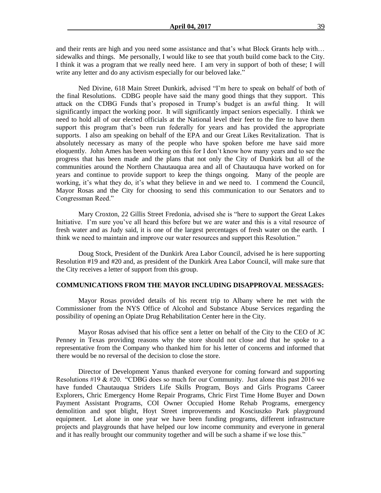and their rents are high and you need some assistance and that's what Block Grants help with… sidewalks and things. Me personally, I would like to see that youth build come back to the City. I think it was a program that we really need here. I am very in support of both of these; I will write any letter and do any activism especially for our beloved lake."

Ned Divine, 618 Main Street Dunkirk, advised "I'm here to speak on behalf of both of the final Resolutions. CDBG people have said the many good things that they support. This attack on the CDBG Funds that's proposed in Trump's budget is an awful thing. It will significantly impact the working poor. It will significantly impact seniors especially. I think we need to hold all of our elected officials at the National level their feet to the fire to have them support this program that's been run federally for years and has provided the appropriate supports. I also am speaking on behalf of the EPA and our Great Likes Revitalization. That is absolutely necessary as many of the people who have spoken before me have said more eloquently. John Ames has been working on this for I don't know how many years and to see the progress that has been made and the plans that not only the City of Dunkirk but all of the communities around the Northern Chautauqua area and all of Chautauqua have worked on for years and continue to provide support to keep the things ongoing. Many of the people are working, it's what they do, it's what they believe in and we need to. I commend the Council, Mayor Rosas and the City for choosing to send this communication to our Senators and to Congressman Reed."

Mary Croxton, 22 Gillis Street Fredonia, advised she is "here to support the Great Lakes Initiative. I'm sure you've all heard this before but we are water and this is a vital resource of fresh water and as Judy said, it is one of the largest percentages of fresh water on the earth. I think we need to maintain and improve our water resources and support this Resolution."

Doug Stock, President of the Dunkirk Area Labor Council, advised he is here supporting Resolution #19 and #20 and, as president of the Dunkirk Area Labor Council, will make sure that the City receives a letter of support from this group.

#### **COMMUNICATIONS FROM THE MAYOR INCLUDING DISAPPROVAL MESSAGES:**

Mayor Rosas provided details of his recent trip to Albany where he met with the Commissioner from the NYS Office of Alcohol and Substance Abuse Services regarding the possibility of opening an Opiate Drug Rehabilitation Center here in the City.

Mayor Rosas advised that his office sent a letter on behalf of the City to the CEO of JC Penney in Texas providing reasons why the store should not close and that he spoke to a representative from the Company who thanked him for his letter of concerns and informed that there would be no reversal of the decision to close the store.

Director of Development Yanus thanked everyone for coming forward and supporting Resolutions  $\#19 \& \#20$ . "CDBG does so much for our Community. Just alone this past 2016 we have funded Chautauqua Striders Life Skills Program, Boys and Girls Programs Career Explorers, Chric Emergency Home Repair Programs, Chric First Time Home Buyer and Down Payment Assistant Programs, COI Owner Occupied Home Rehab Programs, emergency demolition and spot blight, Hoyt Street improvements and Kosciuszko Park playground equipment. Let alone in one year we have been funding programs, different infrastructure projects and playgrounds that have helped our low income community and everyone in general and it has really brought our community together and will be such a shame if we lose this."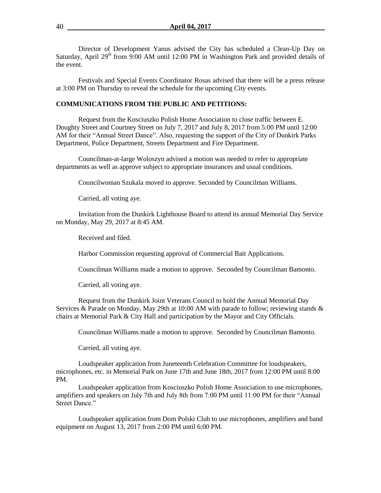Director of Development Yanus advised the City has scheduled a Clean-Up Day on Saturday, April 29<sup>th</sup> from 9:00 AM until 12:00 PM in Washington Park and provided details of the event.

Festivals and Special Events Coordinator Rosas advised that there will be a press release at 3:00 PM on Thursday to reveal the schedule for the upcoming City events.

#### **COMMUNICATIONS FROM THE PUBLIC AND PETITIONS:**

Request from the Kosciuszko Polish Home Association to close traffic between E. Doughty Street and Courtney Street on July 7, 2017 and July 8, 2017 from 5:00 PM until 12:00 AM for their "Annual Street Dance". Also, requesting the support of the City of Dunkirk Parks Department, Police Department, Streets Department and Fire Department.

Councilman-at-large Woloszyn advised a motion was needed to refer to appropriate departments as well as approve subject to appropriate insurances and usual conditions.

Councilwoman Szukala moved to approve. Seconded by Councilman Williams.

Carried, all voting aye.

Invitation from the Dunkirk Lighthouse Board to attend its annual Memorial Day Service on Monday, May 29, 2017 at 8:45 AM.

Received and filed.

Harbor Commission requesting approval of Commercial Bait Applications.

Councilman Williams made a motion to approve. Seconded by Councilman Bamonto.

Carried, all voting aye.

Request from the Dunkirk Joint Veterans Council to hold the Annual Memorial Day Services & Parade on Monday, May 29th at 10:00 AM with parade to follow; reviewing stands & chairs at Memorial Park & City Hall and participation by the Mayor and City Officials.

Councilman Williams made a motion to approve. Seconded by Councilman Bamonto.

Carried, all voting aye.

Loudspeaker application from Juneteenth Celebration Committee for loudspeakers, microphones, etc. in Memorial Park on June 17th and June 18th, 2017 from 12:00 PM until 8:00 PM.

Loudspeaker application from Kosciuszko Polish Home Association to use microphones, amplifiers and speakers on July 7th and July 8th from 7:00 PM until 11:00 PM for their "Annual Street Dance."

Loudspeaker application from Dom Polski Club to use microphones, amplifiers and band equipment on August 13, 2017 from 2:00 PM until 6:00 PM.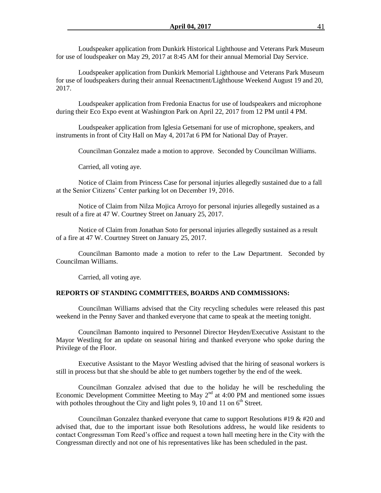Loudspeaker application from Dunkirk Historical Lighthouse and Veterans Park Museum for use of loudspeaker on May 29, 2017 at 8:45 AM for their annual Memorial Day Service.

Loudspeaker application from Dunkirk Memorial Lighthouse and Veterans Park Museum for use of loudspeakers during their annual Reenactment/Lighthouse Weekend August 19 and 20, 2017.

Loudspeaker application from Fredonia Enactus for use of loudspeakers and microphone during their Eco Expo event at Washington Park on April 22, 2017 from 12 PM until 4 PM.

Loudspeaker application from Iglesia Getsemani for use of microphone, speakers, and instruments in front of City Hall on May 4, 2017at 6 PM for National Day of Prayer.

Councilman Gonzalez made a motion to approve. Seconded by Councilman Williams.

Carried, all voting aye.

Notice of Claim from Princess Case for personal injuries allegedly sustained due to a fall at the Senior Citizens' Center parking lot on December 19, 2016.

Notice of Claim from Nilza Mojica Arroyo for personal injuries allegedly sustained as a result of a fire at 47 W. Courtney Street on January 25, 2017.

Notice of Claim from Jonathan Soto for personal injuries allegedly sustained as a result of a fire at 47 W. Courtney Street on January 25, 2017.

Councilman Bamonto made a motion to refer to the Law Department. Seconded by Councilman Williams.

Carried, all voting aye.

#### **REPORTS OF STANDING COMMITTEES, BOARDS AND COMMISSIONS:**

Councilman Williams advised that the City recycling schedules were released this past weekend in the Penny Saver and thanked everyone that came to speak at the meeting tonight.

Councilman Bamonto inquired to Personnel Director Heyden/Executive Assistant to the Mayor Westling for an update on seasonal hiring and thanked everyone who spoke during the Privilege of the Floor.

Executive Assistant to the Mayor Westling advised that the hiring of seasonal workers is still in process but that she should be able to get numbers together by the end of the week.

Councilman Gonzalez advised that due to the holiday he will be rescheduling the Economic Development Committee Meeting to May  $2<sup>nd</sup>$  at 4:00 PM and mentioned some issues with potholes throughout the City and light poles 9, 10 and 11 on  $6<sup>th</sup>$  Street.

Councilman Gonzalez thanked everyone that came to support Resolutions  $\#19 \& \#20$  and advised that, due to the important issue both Resolutions address, he would like residents to contact Congressman Tom Reed's office and request a town hall meeting here in the City with the Congressman directly and not one of his representatives like has been scheduled in the past.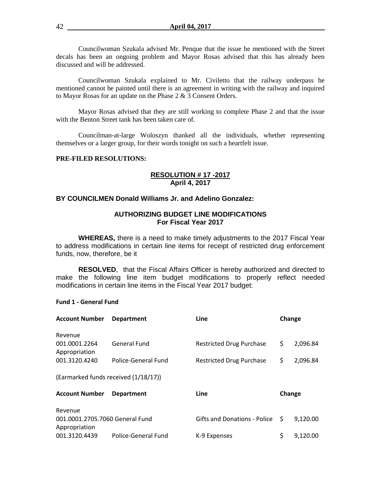Councilwoman Szukala advised Mr. Penque that the issue he mentioned with the Street decals has been an ongoing problem and Mayor Rosas advised that this has already been discussed and will be addressed.

Councilwoman Szukala explained to Mr. Civiletto that the railway underpass he mentioned cannot be painted until there is an agreement in writing with the railway and inquired to Mayor Rosas for an update on the Phase 2 & 3 Consent Orders.

Mayor Rosas advised that they are still working to complete Phase 2 and that the issue with the Benton Street tank has been taken care of.

Councilman-at-large Woloszyn thanked all the individuals, whether representing themselves or a larger group, for their words tonight on such a heartfelt issue.

#### **PRE-FILED RESOLUTIONS:**

#### **RESOLUTION # 17 -2017 April 4, 2017**

# **BY COUNCILMEN Donald Williams Jr. and Adelino Gonzalez:**

#### **AUTHORIZING BUDGET LINE MODIFICATIONS For Fiscal Year 2017**

**WHEREAS,** there is a need to make timely adjustments to the 2017 Fiscal Year to address modifications in certain line items for receipt of restricted drug enforcement funds, now, therefore, be it

**RESOLVED**, that the Fiscal Affairs Officer is hereby authorized and directed to make the following line item budget modifications to properly reflect needed modifications in certain line items in the Fiscal Year 2017 budget:

#### **Fund 1 - General Fund**

| <b>Account Number</b>                                       | <b>Department</b>   | Line                            |        | Change   |
|-------------------------------------------------------------|---------------------|---------------------------------|--------|----------|
| Revenue                                                     |                     |                                 |        |          |
| 001.0001.2264<br>Appropriation                              | <b>General Fund</b> | Restricted Drug Purchase        | \$     | 2,096.84 |
| 001.3120.4240                                               | Police-General Fund | <b>Restricted Drug Purchase</b> | \$     | 2,096.84 |
| (Earmarked funds received (1/18/17))                        |                     |                                 |        |          |
| <b>Account Number</b>                                       | <b>Department</b>   | Line                            | Change |          |
| Revenue<br>001.0001.2705.7060 General Fund<br>Appropriation |                     | Gifts and Donations - Police \$ |        | 9,120.00 |
| 001.3120.4439                                               | Police-General Fund | K-9 Expenses                    | \$     | 9,120.00 |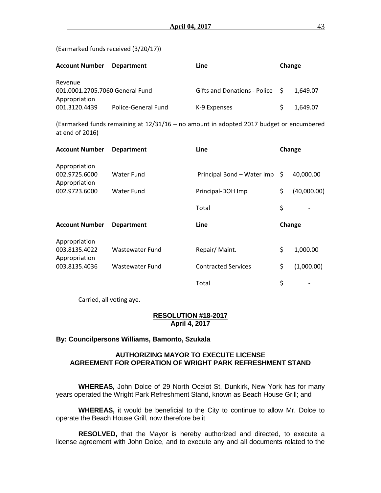(Earmarked funds received (3/20/17))

| <b>Account Number</b>                                       | <b>Department</b>   | Line                            | Change |          |
|-------------------------------------------------------------|---------------------|---------------------------------|--------|----------|
| Revenue<br>001.0001.2705.7060 General Fund<br>Appropriation |                     | Gifts and Donations - Police \$ |        | 1.649.07 |
| 001.3120.4439                                               | Police-General Fund | K-9 Expenses                    |        | 1.649.07 |

(Earmarked funds remaining at 12/31/16 – no amount in adopted 2017 budget or encumbered at end of 2016)

| <b>Account Number</b>          | <b>Department</b> | <b>Line</b>                |    | Change      |  |
|--------------------------------|-------------------|----------------------------|----|-------------|--|
| Appropriation<br>002.9725.6000 | Water Fund        | Principal Bond - Water Imp | S  | 40,000.00   |  |
| Appropriation                  |                   |                            |    |             |  |
| 002.9723.6000                  | Water Fund        | Principal-DOH Imp          | \$ | (40,000.00) |  |
|                                |                   | Total                      | \$ |             |  |
| <b>Account Number</b>          | <b>Department</b> | Line                       |    | Change      |  |
| Appropriation                  |                   |                            |    |             |  |
| 003.8135.4022<br>Appropriation | Wastewater Fund   | Repair/Maint.              | \$ | 1,000.00    |  |
| 003.8135.4036                  | Wastewater Fund   | <b>Contracted Services</b> | \$ | (1,000.00)  |  |
|                                |                   | Total                      | \$ |             |  |

Carried, all voting aye.

#### **RESOLUTION #18-2017 April 4, 2017**

# **By: Councilpersons Williams, Bamonto, Szukala**

## **AUTHORIZING MAYOR TO EXECUTE LICENSE AGREEMENT FOR OPERATION OF WRIGHT PARK REFRESHMENT STAND**

**WHEREAS,** John Dolce of 29 North Ocelot St, Dunkirk, New York has for many years operated the Wright Park Refreshment Stand, known as Beach House Grill; and

**WHEREAS,** it would be beneficial to the City to continue to allow Mr. Dolce to operate the Beach House Grill, now therefore be it

**RESOLVED,** that the Mayor is hereby authorized and directed, to execute a license agreement with John Dolce, and to execute any and all documents related to the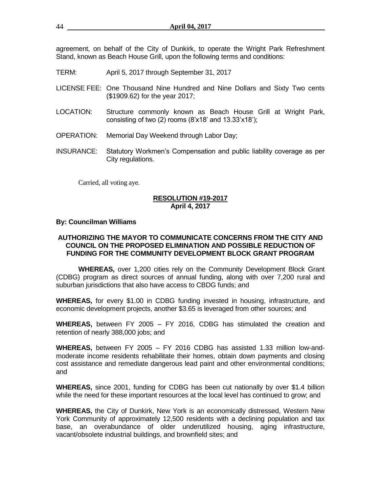agreement, on behalf of the City of Dunkirk, to operate the Wright Park Refreshment Stand, known as Beach House Grill, upon the following terms and conditions:

- TERM: April 5, 2017 through September 31, 2017
- LICENSE FEE: One Thousand Nine Hundred and Nine Dollars and Sixty Two cents (\$1909.62) for the year 2017;
- LOCATION: Structure commonly known as Beach House Grill at Wright Park, consisting of two (2) rooms  $(8'x18'$  and  $13.33'x18'$ ;
- OPERATION: Memorial Day Weekend through Labor Day;
- INSURANCE: Statutory Workmen's Compensation and public liability coverage as per City regulations.

Carried, all voting aye.

## **RESOLUTION #19-2017 April 4, 2017**

#### **By: Councilman Williams**

## **AUTHORIZING THE MAYOR TO COMMUNICATE CONCERNS FROM THE CITY AND COUNCIL ON THE PROPOSED ELIMINATION AND POSSIBLE REDUCTION OF FUNDING FOR THE COMMUNITY DEVELOPMENT BLOCK GRANT PROGRAM**

**WHEREAS,** over 1,200 cities rely on the Community Development Block Grant (CDBG) program as direct sources of annual funding, along with over 7,200 rural and suburban jurisdictions that also have access to CBDG funds; and

**WHEREAS,** for every \$1.00 in CDBG funding invested in housing, infrastructure, and economic development projects, another \$3.65 is leveraged from other sources; and

**WHEREAS,** between FY 2005 – FY 2016, CDBG has stimulated the creation and retention of nearly 388,000 jobs; and

**WHEREAS,** between FY 2005 – FY 2016 CDBG has assisted 1.33 million low-andmoderate income residents rehabilitate their homes, obtain down payments and closing cost assistance and remediate dangerous lead paint and other environmental conditions; and

**WHEREAS,** since 2001, funding for CDBG has been cut nationally by over \$1.4 billion while the need for these important resources at the local level has continued to grow; and

**WHEREAS,** the City of Dunkirk, New York is an economically distressed, Western New York Community of approximately 12,500 residents with a declining population and tax base, an overabundance of older underutilized housing, aging infrastructure, vacant/obsolete industrial buildings, and brownfield sites; and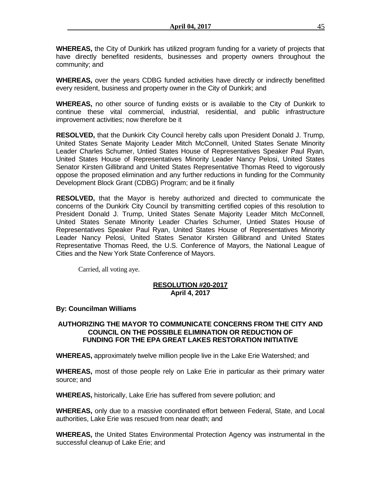**WHEREAS,** the City of Dunkirk has utilized program funding for a variety of projects that have directly benefited residents, businesses and property owners throughout the community; and

**WHEREAS,** over the years CDBG funded activities have directly or indirectly benefitted every resident, business and property owner in the City of Dunkirk; and

**WHEREAS,** no other source of funding exists or is available to the City of Dunkirk to continue these vital commercial, industrial, residential, and public infrastructure improvement activities; now therefore be it

**RESOLVED,** that the Dunkirk City Council hereby calls upon President Donald J. Trump, United States Senate Majority Leader Mitch McConnell, United States Senate Minority Leader Charles Schumer, Untied States House of Representatives Speaker Paul Ryan, United States House of Representatives Minority Leader Nancy Pelosi, United States Senator Kirsten Gillibrand and United States Representative Thomas Reed to vigorously oppose the proposed elimination and any further reductions in funding for the Community Development Block Grant (CDBG) Program; and be it finally

**RESOLVED,** that the Mayor is hereby authorized and directed to communicate the concerns of the Dunkirk City Council by transmitting certified copies of this resolution to President Donald J. Trump, United States Senate Majority Leader Mitch McConnell, United States Senate Minority Leader Charles Schumer, Untied States House of Representatives Speaker Paul Ryan, United States House of Representatives Minority Leader Nancy Pelosi, United States Senator Kirsten Gillibrand and United States Representative Thomas Reed, the U.S. Conference of Mayors, the National League of Cities and the New York State Conference of Mayors.

Carried, all voting aye.

## **RESOLUTION #20-2017 April 4, 2017**

# **By: Councilman Williams**

# **AUTHORIZING THE MAYOR TO COMMUNICATE CONCERNS FROM THE CITY AND COUNCIL ON THE POSSIBLE ELIMINATION OR REDUCTION OF FUNDING FOR THE EPA GREAT LAKES RESTORATION INITIATIVE**

**WHEREAS,** approximately twelve million people live in the Lake Erie Watershed; and

**WHEREAS,** most of those people rely on Lake Erie in particular as their primary water source; and

**WHEREAS,** historically, Lake Erie has suffered from severe pollution; and

**WHEREAS,** only due to a massive coordinated effort between Federal, State, and Local authorities, Lake Erie was rescued from near death; and

**WHEREAS,** the United States Environmental Protection Agency was instrumental in the successful cleanup of Lake Erie; and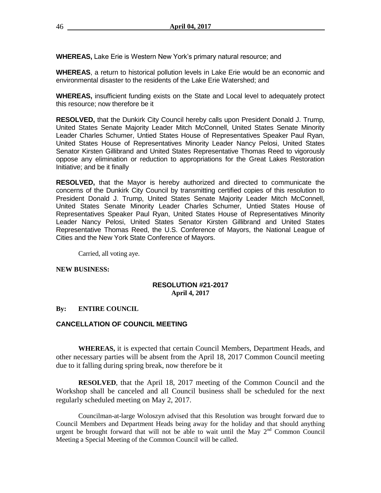**WHEREAS,** Lake Erie is Western New York's primary natural resource; and

**WHEREAS**, a return to historical pollution levels in Lake Erie would be an economic and environmental disaster to the residents of the Lake Erie Watershed; and

**WHEREAS,** insufficient funding exists on the State and Local level to adequately protect this resource; now therefore be it

**RESOLVED,** that the Dunkirk City Council hereby calls upon President Donald J. Trump, United States Senate Majority Leader Mitch McConnell, United States Senate Minority Leader Charles Schumer, Untied States House of Representatives Speaker Paul Ryan, United States House of Representatives Minority Leader Nancy Pelosi, United States Senator Kirsten Gillibrand and United States Representative Thomas Reed to vigorously oppose any elimination or reduction to appropriations for the Great Lakes Restoration Initiative; and be it finally

**RESOLVED,** that the Mayor is hereby authorized and directed to communicate the concerns of the Dunkirk City Council by transmitting certified copies of this resolution to President Donald J. Trump, United States Senate Majority Leader Mitch McConnell, United States Senate Minority Leader Charles Schumer, Untied States House of Representatives Speaker Paul Ryan, United States House of Representatives Minority Leader Nancy Pelosi, United States Senator Kirsten Gillibrand and United States Representative Thomas Reed, the U.S. Conference of Mayors, the National League of Cities and the New York State Conference of Mayors.

Carried, all voting aye.

## **NEW BUSINESS:**

# **RESOLUTION #21-2017 April 4, 2017**

## **By: ENTIRE COUNCIL**

## **CANCELLATION OF COUNCIL MEETING**

**WHEREAS,** it is expected that certain Council Members, Department Heads, and other necessary parties will be absent from the April 18, 2017 Common Council meeting due to it falling during spring break, now therefore be it

**RESOLVED**, that the April 18, 2017 meeting of the Common Council and the Workshop shall be canceled and all Council business shall be scheduled for the next regularly scheduled meeting on May 2, 2017.

Councilman-at-large Woloszyn advised that this Resolution was brought forward due to Council Members and Department Heads being away for the holiday and that should anything urgent be brought forward that will not be able to wait until the May  $2<sup>nd</sup>$  Common Council Meeting a Special Meeting of the Common Council will be called.